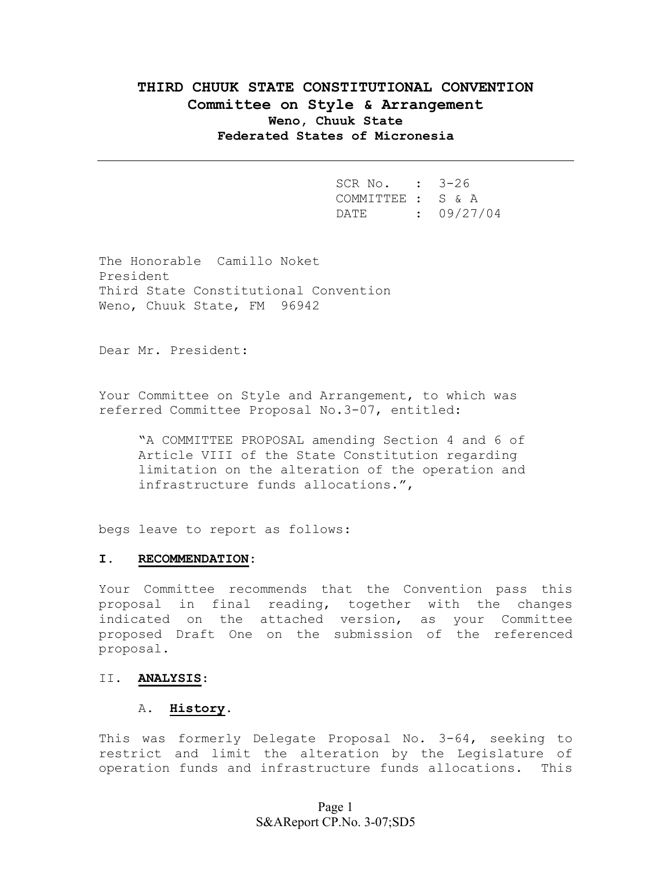# **THIRD CHUUK STATE CONSTITUTIONAL CONVENTION Committee on Style & Arrangement Weno, Chuuk State Federated States of Micronesia**

 SCR No. : 3-26 COMMITTEE : S & A DATE : 09/27/04

The Honorable Camillo Noket President Third State Constitutional Convention Weno, Chuuk State, FM 96942

Dear Mr. President:

Your Committee on Style and Arrangement, to which was referred Committee Proposal No.3-07, entitled:

"A COMMITTEE PROPOSAL amending Section 4 and 6 of Article VIII of the State Constitution regarding limitation on the alteration of the operation and infrastructure funds allocations.",

begs leave to report as follows:

#### **I. RECOMMENDATION:**

Your Committee recommends that the Convention pass this proposal in final reading, together with the changes indicated on the attached version, as your Committee proposed Draft One on the submission of the referenced proposal.

#### II. **ANALYSIS**:

#### A. **History**.

This was formerly Delegate Proposal No. 3-64, seeking to restrict and limit the alteration by the Legislature of operation funds and infrastructure funds allocations. This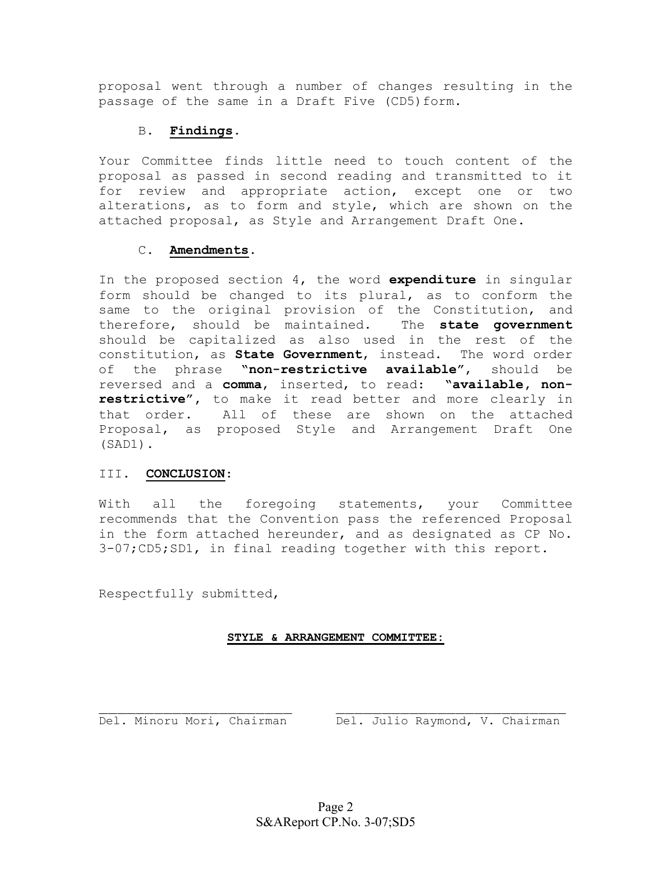proposal went through a number of changes resulting in the passage of the same in a Draft Five (CD5) form.

### B. **Findings**.

Your Committee finds little need to touch content of the proposal as passed in second reading and transmitted to it for review and appropriate action, except one or two alterations, as to form and style, which are shown on the attached proposal, as Style and Arrangement Draft One.

### C. **Amendments**.

In the proposed section 4, the word **expenditure** in singular form should be changed to its plural, as to conform the same to the original provision of the Constitution, and therefore, should be maintained. The **state government** should be capitalized as also used in the rest of the constitution, as **State Government**, instead. The word order of the phrase **"non-restrictive available"**, should be reversed and a **comma**, inserted, to read: **"available, nonrestrictive",** to make it read better and more clearly in that order. All of these are shown on the attached Proposal, as proposed Style and Arrangement Draft One (SAD1).

## III. **CONCLUSION**:

With all the foregoing statements, your Committee recommends that the Convention pass the referenced Proposal in the form attached hereunder, and as designated as CP No. 3-07;CD5;SD1, in final reading together with this report.

Respectfully submitted,

### **STYLE & ARRANGEMENT COMMITTEE:**

\_\_\_\_\_\_\_\_\_\_\_\_\_\_\_\_\_\_\_\_\_ \_\_\_\_\_\_\_\_\_\_\_\_\_\_\_\_\_\_\_\_\_\_\_\_\_ Del. Minoru Mori, Chairman Del. Julio Raymond, V. Chairman